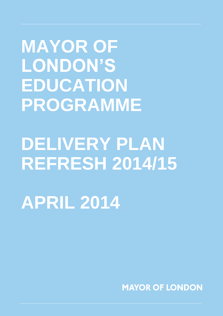**MAYOR OF LONDON'S EDUCATION PROGRAMME**

# **DELIVERY PLAN REFRESH 2014/15**

**APRIL 2014**

**MAYOR OF LONDON**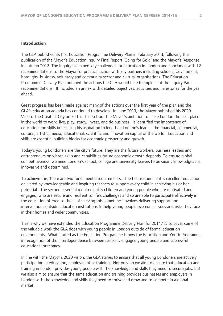#### **Introduction**

The GLA published its first Education Programme Delivery Plan in February 2013, following the publication of the Mayor's Education Inquiry Final Report 'Going for Gold' and the Mayor's Response in autumn 2012. The Inquiry examined key challenges for education in London and concluded with 12 recommendations to the Mayor for practical action with key partners including schools, Government, boroughs, business, voluntary and community sector and cultural organisations. The Education Programme Delivery Plan outlined the actions the GLA would take to implement the Inquiry Panel recommendations. It included an annex with detailed objectives, activities and milestones for the year ahead.

Great progress has been made against many of the actions over the first year of the plan and the GLA's education agenda has continued to develop. In June 2013, the Mayor published his 2020 Vision: The Greatest City on Earth. This set out the Mayor's ambition to make London the best place in the world to work, live, play, study, invest, and do business. It identified the importance of education and skills in realising his aspiration to lengthen London's lead as the financial, commercial, cultural, artistic, media, educational, scientific and innovation capital of the world. Education and skills are essential building blocks for economic prosperity and growth.

Today's young Londoners are the city's future. They are the future workers, business leaders and entrepreneurs on whose skills and capabilities future economic growth depends. To ensure global competitiveness, we need London's school, college and university leavers to be smart, knowledgeable, innovative and determined.

To achieve this, there are two fundamental requirements. The first requirement is excellent education delivered by knowledgeable and inspiring teachers to support every child in achieving his or her potential. The second essential requirement is children and young people who are motivated and engaged; who are secure and resilient to life's challenges and so are able to participate effectively in the education offered to them. Achieving this sometimes involves delivering support and interventions outside education institutions to help young people overcome issues and risks they face in their homes and wider communities.

This is why we have extended the Education Programme Delivery Plan for 2014/15 to cover some of the valuable work the GLA does with young people in London outside of formal education environments. What started as the Education Programme is now the Education and Youth Programme in recognition of the interdependence between resilient, engaged young people and successful educational outcomes.

In line with the Mayor's 2020 vision, the GLA strives to ensure that all young Londoners are actively participating in education, employment or training. Not only do we aim to ensure that education and training in London provides young people with the knowledge and skills they need to secure jobs, but we also aim to ensure that the same education and training provides businesses and employers in London with the knowledge and skills they need to thrive and grow and to compete in a global market.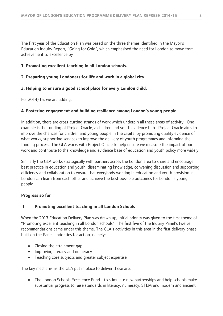The first year of the Education Plan was based on the three themes identified in the Mayor's Education Inquiry Report, "Going for Gold", which emphasised the need for London to move from achievement to excellence by

# **1. Promoting excellent teaching in all London schools.**

# **2. Preparing young Londoners for life and work in a global city.**

# **3. Helping to ensure a good school place for every London child.**

For 2014/15, we are adding:

# **4. Fostering engagement and building resilience among London's young people.**

In addition, there are cross-cutting strands of work which underpin all these areas of activity. One example is the funding of Project Oracle, a children and youth evidence hub. Project Oracle aims to improve the chances for children and young people in the capital by promoting quality evidence of what works, supporting services to improve the delivery of youth programmes and informing the funding process. The GLA works with Project Oracle to help ensure we measure the impact of our work and contribute to the knowledge and evidence base of education and youth policy more widely.

Similarly the GLA works strategically with partners across the London area to share and encourage best practice in education and youth, disseminating knowledge, convening discussion and supporting efficiency and collaboration to ensure that everybody working in education and youth provision in London can learn from each other and achieve the best possible outcomes for London's young people.

### **Progress so far**

# **1 Promoting excellent teaching in all London Schools**

When the 2013 Education Delivery Plan was drawn up, initial priority was given to the first theme of "Promoting excellent teaching in all London schools". The first five of the Inquiry Panel's twelve recommendations came under this theme. The GLA's activities in this area in the first delivery phase built on the Panel's priorities for action, namely:

- Closing the attainment gap
- Improving literacy and numeracy
- Teaching core subjects and greater subject expertise

The key mechanisms the GLA put in place to deliver these are:

 The London Schools Excellence Fund - to stimulate new partnerships and help schools make substantial progress to raise standards in literacy, numeracy, STEM and modern and ancient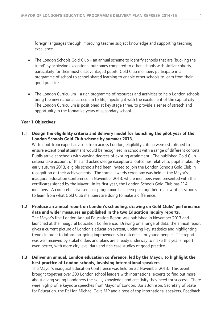foreign languages through improving teacher subject knowledge and supporting teaching excellence.

- The London Schools Gold Club an annual scheme to identify schools that are 'bucking the trend' by achieving exceptional outcomes compared to other schools with similar cohorts, particularly for their most disadvantaged pupils. Gold Club members participate in a programme of school to school shared learning to enable other schools to learn from their good practice.
- The London Curriculum a rich programme of resources and activities to help London schools bring the new national curriculum to life, injecting it with the excitement of the capital city. The London Curriculum is positioned at key stage three, to provide a sense of stretch and opportunity in the formative years of secondary school.

#### **Year 1 Objectives:**

**1.1 Design the eligibility criteria and delivery model for launching the pilot year of the London Schools Gold Club scheme by summer 2013.** 

With input from expert advisors from across London, eligibility criteria were established to ensure exceptional attainment would be recognised in schools with a range of different cohorts. Pupils arrive at schools with varying degrees of existing attainment. The published Gold Club criteria take account of this and acknowledge exceptional outcomes relative to pupil intake. By early autumn 2013, eligible schools had been invited to join the London Schools Gold Club in recognition of their achievements. The formal awards ceremony was held at the Mayor's inaugural Education Conference in November 2013, where members were presented with their certificates signed by the Mayor. In its first year, the London Schools Gold Club has 114 members. A comprehensive seminar programme has been put together to allow other schools to learn from what Gold Club members are doing to make a difference.

**1.2 Produce an annual report on London's schooling, drawing on Gold Clubs' performance data and wider measures as published in the two Education Inquiry reports.** The Mayor's first London Annual Education Report was published in November 2013 and launched at the inaugural Education Conference. Drawing on a range of data, the annual report gives a current picture of London's education system, updating key statistics and highlighting trends in order to inform on-going improvements in outcomes for young people. The report was well received by stakeholders and plans are already underway to make this year's report even better, with more city level data and rich case studies of good practice.

**1.3 Deliver an annual, London education conference, led by the Mayor, to highlight the best practice of London schools, involving international speakers.**

The Mayor's inaugural Education Conference was held on 22 November 2013. This event brought together over 300 London school leaders with international experts to find out more about giving young Londoners the skills, knowledge and creativity they need for success. There were high profile keynote speeches from Mayor of London, Boris Johnson, Secretary of State for Education, the Rt Hon Michael Gove MP and a host of top international speakers. Feedback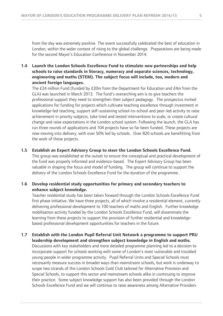from the day was extremely positive. The event successfully celebrated the best of education in London, within the wider context of rising to the global challenge. Preparations are being made for the second Mayor's Education Conference in November 2014.

# **1.4 Launch the London Schools Excellence Fund to stimulate new partnerships and help schools to raise standards in literacy, numeracy and separate sciences, technology, engineering and maths (STEM). The subject focus will include, too, modern and ancient foreign languages.**

The  $E$ 24 million Fund (funded by  $E$ 20m from the Department for Education and  $E$ 4m from the GLA) was launched in March 2013. The fund's overarching aim is to give teachers the professional support they need to strengthen their subject pedagogy. The prospectus invited applications for funding for projects which cultivate teaching excellence through investment in knowledge-led teaching, support self-sustaining school-to-school and peer-led activity to raise achievement in priority subjects, take tried and tested interventions to scale, or create cultural change and raise expectations in the London school system. Following the launch, the GLA has run three rounds of applications and 104 projects have so far been funded. These projects are now moving into delivery, with over 50% led by schools. Over 820 schools are benefitting from the work of these projects.

#### **1.5 Establish an Expert Advisory Group to steer the London Schools Excellence Fund.**

This group was established at the outset to ensure the conceptual and practical development of the fund was properly informed and evidence-based. The Expert Advisory Group has been valuable in shaping the focus and model of funding. The group will continue to support the delivery of the London Schools Excellence Fund for the duration of the programme.

# **1.6 Develop residential study opportunities for primary and secondary teachers to enhance subject knowledge.**

Teacher residential study has been taken forward through the London Schools Excellence Fund first phase initiative. We have three projects, all of which involve a residential element, currently delivering professional development to 100 teachers of maths and English. Further knowledge mobilisation activity funded by the London Schools Excellence Fund, will disseminate the learning from these projects to support the provision of further residential and knowledgebased professional development opportunities for teachers in the future.

### **1.7 Establish with the London Pupil Referral Unit Network a programme to support PRU leadership development and strengthen subject knowledge in English and maths.**

Discussions with key stakeholders and more detailed programme planning led to a decision to incorporate support for schools working with some of London's most vulnerable and troubled young people in wider programme activity. Pupil Referral Units and Special Schools must necessarily measure success in broader ways than mainstream schools, but work is underway to scope two strands of the London Schools Gold Club tailored for Alternative Provision and Special Schools, to support this sector and mainstream schools alike in continuing to improve their practice. Some subject knowledge support has also been provided through the London Schools Excellence Fund and we will continue to raise awareness among Alternative Providers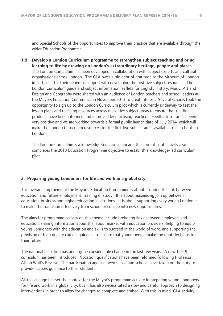and Special Schools of the opportunities to improve their practice that are available through the wider Education Programme.

**1.8 Develop a London Curriculum programme to strengthen subject teaching and bring learning to life by drawing on London's extraordinary heritage, people and places.** The London Curriculum has been developed in collaboration with subject experts and cultural organisations across London. The GLA owes a big debt of gratitude to the Museum of London in particular for their generous support with developing the first five subject resources. The London Curriculum guide and subject information leaflets for English, History, Music, Art and Design and Geography were shared with an audience of London teachers and school leaders at the Mayors Education Conference in November 2013 to great interest. Several schools took the opportunity to sign up to the London Curriculum pilot which is currently underway to test the lesson plans and teaching resources across these five subject areas to ensure that the final products have been informed and improved by practising teachers. Feedback so far has been very positive and we are working towards a formal public launch date of July 2014, which will make the London Curriculum resources for the first five subject areas available to all schools in London.

The London Curriculum is a knowledge-led curriculum and the current pilot activity also completes the 2013 Education Programme objective to establish a knowledge-led curriculum pilot.

#### **2. Preparing young Londoners for life and work in a global city**

This overarching theme of the Mayor's Education Programme is about ensuring the link between education and future employment, training or study. It is about maximising join up between education, business and higher education institutions. It is about supporting every young Londoner to make the transition effectively from school or college into new opportunities.

The aims for programme activity on this theme include brokering links between employers and education, sharing information about the labour market with education providers, helping to equip young Londoners with the education and skills to succeed in the world of work, and supporting the provision of high quality careers guidance to ensure that young people make the right decisions for their future.

The national backdrop has undergone considerable change in the last few years. A new 11-19 curriculum has been introduced. Vocation qualifications have been reformed following Professor Alison Wolf's Review. The participation age has been raised and schools have taken on the duty to provide careers guidance to their students.

All this change has set the context for the Mayor's programme activity in preparing young Londoners for life and work in a global city, but it has also necessitated a slow and careful approach to designing interventions in order to allow for changes to complete and embed. With this in mind, GLA activity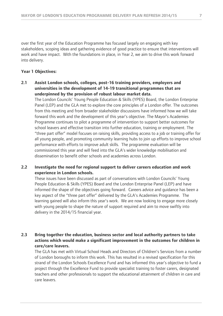over the first year of the Education Programme has focused largely on engaging with key stakeholders, scoping ideas and gathering evidence of good practice to ensure that interventions will work and have impact. With the foundations in place, in Year 2, we aim to drive this work forward into delivery.

#### **Year 1 Objectives:**

### **2.1 Assist London schools, colleges, post-16 training providers, employers and universities in the development of 14-19 transitional programmes that are underpinned by the provision of robust labour market data.**

The London Councils' Young People Education & Skills (YPES) Board, the London Enterprise Panel (LEP) and the GLA met to explore the core principles of a London offer. The outcomes from this meeting and from broader stakeholder discussions have informed how we will take forward this work and the development of this year's objective. The Mayor's Academies Programme continues to pilot a programme of intervention to support better outcomes for school leavers and effective transition into further education, training or employment. The "three part offer" model focuses on raising skills, providing access to a job or training offer for all young people, and promoting community learning hubs to join up efforts to improve school performance with efforts to improve adult skills. The programme evaluation will be commissioned this year and will feed into the GLA's wider knowledge mobilisation and dissemination to benefit other schools and academies across London.

# **2.2 Investigate the need for regional support to deliver careers education and work experience in London schools.**

These issues have been discussed as part of conversations with London Councils' Young People Education & Skills (YPES) Board and the London Enterprise Panel (LEP) and have informed the shape of the objectives going forward. Careers advice and guidance has been a key aspect of the "three part offer" delivered by the GLA's Academies Programme. The learning gained will also inform this year's work. We are now looking to engage more closely with young people to shape the nature of support required and aim to move swiftly into delivery in the 2014/15 financial year.

# **2.3 Bring together the education, business sector and local authority partners to take actions which would make a significant improvement in the outcomes for children in care/care leavers.**

The GLA has met with Virtual School Heads and Directors of Children's Services from a number of London boroughs to inform this work. This has resulted in a revised specification for this strand of the London Schools Excellence Fund and has informed this year's objective to fund a project through the Excellence Fund to provide specialist training to foster carers, designated teachers and other professionals to support the educational attainment of children in care and care leavers.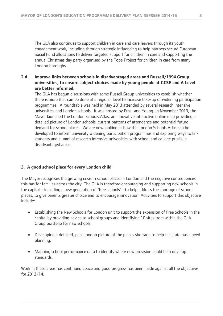The GLA also continues to support children in care and care leavers through its youth engagement work, including through strategic influencing to help partners secure European Social Fund allocations to deliver targeted support for children in care and supporting the annual Christmas day party organised by the Topé Project for children in care from many London boroughs.

# **2.4 Improve links between schools in disadvantaged areas and Russell/1994 Group universities, to ensure subject choices made by young people at GCSE and A Level are better informed.**

The GLA has begun discussions with some Russell Group universities to establish whether there is more that can be done at a regional level to increase take-up of widening participation programmes. A roundtable was held in May 2013 attended by several research intensive universities and London schools. It was hosted by Ernst and Young. In November 2013, the Mayor launched the London Schools Atlas, an innovative interactive online map providing a detailed picture of London schools, current patterns of attendance and potential future demand for school places. We are now looking at how the London Schools Atlas can be developed to inform university widening participation programmes and exploring ways to link students and alumni of research intensive universities with school and college pupils in disadvantaged areas.

### **3. A good school place for every London child**

The Mayor recognises the growing crisis in school places in London and the negative consequences this has for families across the city. The GLA is therefore encouraging and supporting new schools in the capital – including a new generation of 'free schools' - to help address the shortage of school places, to give parents greater choice and to encourage innovation. Activities to support this objective include:

- Establishing the New Schools for London unit to support the expansion of Free Schools in the capital by providing advice to school groups and identifying 10 sites from within the GLA Group portfolio for new schools.
- Developing a detailed, pan-London picture of the places shortage to help facilitate basic need planning.
- Mapping school performance data to identify where new provision could help drive up standards.

Work in these areas has continued apace and good progress has been made against all the objectives for 2013/14.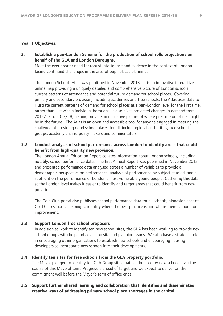#### **Year 1 Objectives:**

**3.1 Establish a pan-London Scheme for the production of school rolls projections on behalf of the GLA and London Boroughs.**

Meet the ever greater need for robust intelligence and evidence in the context of London facing continued challenges in the area of pupil places planning.

The London Schools Atlas was published in November 2013. It is an innovative interactive online map providing a uniquely detailed and comprehensive picture of London schools, current patterns of attendance and potential future demand for school places. Covering primary and secondary provision, including academies and free schools, the Atlas uses data to illustrate current patterns of demand for school places at a pan-London level for the first time, rather than just within individual boroughs. It also gives projected changes in demand from 2012/13 to 2017/18, helping provide an indicative picture of where pressure on places might be in the future. The Atlas is an open and accessible tool for anyone engaged in meeting the challenge of providing good school places for all, including local authorities, free school groups, academy chains, policy makers and commentators.

#### **3.2 Conduct analysis of school performance across London to identify areas that could benefit from high-quality new provision.**

The London Annual Education Report collates information about London schools, including, notably, school performance data. The first Annual Report was published in November 2013 and presented performance data analysed across a number of variables to provide a demographic perspective on performance, analysis of performance by subject studied, and a spotlight on the performance of London's most vulnerable young people. Gathering this data at the London level makes it easier to identify and target areas that could benefit from new provision.

The Gold Club portal also publishes school performance data for all schools, alongside that of Gold Club schools, helping to identify where the best practice is and where there is room for improvement.

#### **3.3 Support London free school proposers**

In addition to work to identify ten new school sites, the GLA has been working to provide new school groups with help and advice on site and planning issues. We also have a strategic role in encouraging other organisations to establish new schools and encouraging housing developers to incorporate new schools into their developments.

#### **3.4 Identify ten sites for free schools from the GLA property portfolio.**

The Mayor pledged to identify ten GLA Group sites that can be used by new schools over the course of this Mayoral term. Progress is ahead of target and we expect to deliver on the commitment well before the Mayor's term of office ends.

#### **3.5 Support further shared learning and collaboration that identifies and disseminates creative ways of addressing primary school place shortages in the capital.**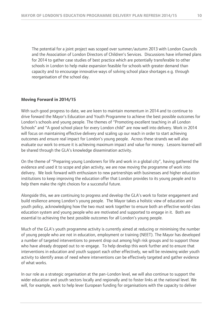The potential for a joint project was scoped over summer/autumn 2013 with London Councils and the Association of London Directors of Children's Services. Discussions have informed plans for 2014 to gather case studies of best practice which are potentially transferable to other schools in London to help make expansion feasible for schools with greater demand than capacity and to encourage innovative ways of solving school place shortages e.g. through reorganisation of the school day.

#### **Moving Forward in 2014/15**

With such good progress to date, we are keen to maintain momentum in 2014 and to continue to drive forward the Mayor's Education and Youth Programme to achieve the best possible outcomes for London's schools and young people. The themes of "Promoting excellent teaching in all London Schools" and "A good school place for every London child" are now well into delivery. Work in 2014 will focus on maintaining effective delivery and scaling up our reach in order to start achieving outcomes and ensure real impact for London's young people. Across these strands we will also evaluate our work to ensure it is achieving maximum impact and value for money. Lessons learned will be shared through the GLA's knowledge dissemination activity.

On the theme of "Preparing young Londoners for life and work in a global city", having gathered the evidence and used it to scope and plan activity, we are now moving the programme of work into delivery. We look forward with enthusiasm to new partnerships with businesses and higher education institutions to keep improving the education offer that London provides to its young people and to help them make the right choices for a successful future.

Alongside this, we are continuing to progress and develop the GLA's work to foster engagement and build resilience among London's young people. The Mayor takes a holistic view of education and youth policy, acknowledging how the two must work together to ensure both an effective world-class education system and young people who are motivated and supported to engage in it. Both are essential to achieving the best possible outcomes for all London's young people.

Much of the GLA's youth programme activity is currently aimed at reducing or minimising the number of young people who are not in education, employment or training (NEET). The Mayor has developed a number of targeted interventions to prevent drop out among high risk groups and to support those who have already dropped out to re-engage. To help develop this work further and to ensure that interventions in education and youth support each other effectively, we will be reviewing wider youth activity to identify areas of need where interventions can be effectively targeted and gather evidence of what works.

In our role as a strategic organisation at the pan-London level, we will also continue to support the wider education and youth sectors locally and regionally and to foster links at the national level. We will, for example, work to help lever European funding for organisations with the capacity to deliver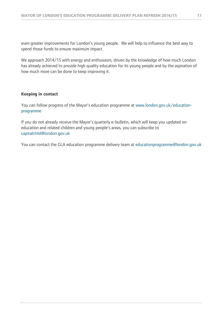even greater improvements for London's young people. We will help to influence the best way to spend those funds to ensure maximum impact.

We approach 2014/15 with energy and enthusiasm, driven by the knowledge of how much London has already achieved to provide high quality education for its young people and by the aspiration of how much more can be done to keep improving it.

#### **Keeping in contact**

You can follow progress of the Mayor's education programme at [www.london.gov.uk/education](http://www.london.gov.uk/education-programme)[programme](http://www.london.gov.uk/education-programme)

If you do not already receive the Mayor's quarterly e-bulletin, which will keep you updated on education and related children and young people's areas, you can subscribe to [capitalchild@london.gov.uk](mailto:capitalchild@london.gov.uk)

You can contact the GLA education programme delivery team at [educationprogramme@london.gov.uk](mailto:educationprogramme@london.gov.uk)